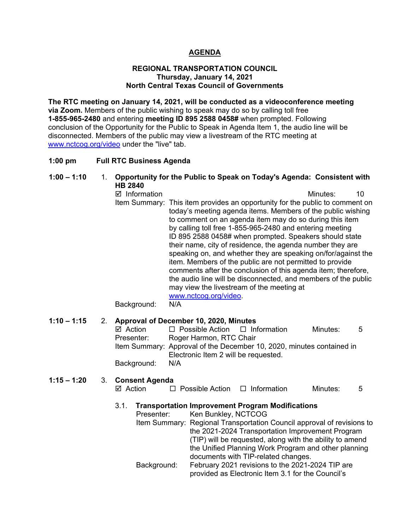# **AGENDA**

### **REGIONAL TRANSPORTATION COUNCIL Thursday, January 14, 2021 North Central Texas Council of Governments**

**The RTC meeting on January 14, 2021, will be conducted as a videoconference meeting via Zoom.** Members of the public wishing to speak may do so by calling toll free **1-855-965-2480** and entering **meeting ID 895 2588 0458#** when prompted. Following conclusion of the Opportunity for the Public to Speak in Agenda Item 1, the audio line will be disconnected. Members of the public may view a livestream of the RTC meeting at [www.nctcog.org/video](http://www.nctcog.org/video) under the "live" tab.

### **1:00 pm Full RTC Business Agenda**

# **1:00 – 1:10** 1. **Opportunity for the Public to Speak on Today's Agenda: Consistent with HB 2840**

■ Information and The Contract of Minutes: 10 Item Summary: This item provides an opportunity for the public to comment on today's meeting agenda items. Members of the public wishing to comment on an agenda item may do so during this item by calling toll free 1-855-965-2480 and entering meeting ID 895 2588 0458# when prompted. Speakers should state their name, city of residence, the agenda number they are speaking on, and whether they are speaking on/for/against the item. Members of the public are not permitted to provide comments after the conclusion of this agenda item; therefore, the audio line will be disconnected, and members of the public may view the livestream of the meeting at [www.nctcog.org/video.](http://www.nctcog.org/video) Background: N/A

# **1:10 – 1:15** 2. **Approval of December 10, 2020, Minutes**

| ⊠ Action    | $\Box$ Possible Action $\Box$ Information                             |  | Minutes: | .5 |
|-------------|-----------------------------------------------------------------------|--|----------|----|
| Presenter:  | Roger Harmon, RTC Chair                                               |  |          |    |
|             | Item Summary: Approval of the December 10, 2020, minutes contained in |  |          |    |
|             | Electronic Item 2 will be requested.                                  |  |          |    |
| Background: | N/A                                                                   |  |          |    |

### **1:15 – 1:20** 3. **Consent Agenda**

|  | ⊠ Action | $\Box$ Possible Action | $\Box$ Information | Minutes: |  |
|--|----------|------------------------|--------------------|----------|--|
|--|----------|------------------------|--------------------|----------|--|

# 3.1. **Transportation Improvement Program Modifications**

Ken Bunkley, NCTCOG Item Summary: Regional Transportation Council approval of revisions to the 2021-2024 Transportation Improvement Program (TIP) will be requested, along with the ability to amend the Unified Planning Work Program and other planning documents with TIP-related changes. Background: February 2021 revisions to the 2021-2024 TIP are provided as Electronic Item 3.1 for the Council's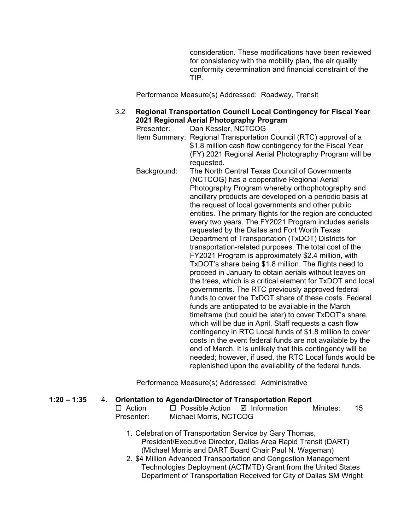consideration. These modifications have been reviewed for consistency with the mobility plan, the air quality conformity determination and financial constraint of the TIP.

Performance Measure(s) Addressed: Roadway, Transit

# 3.2 **Regional Transportation Council Local Contingency for Fiscal Year 2021 Regional Aerial Photography Program**

Presenter: Dan Kessler, NCTCOG Item Summary: Regional Transportation Council (RTC) approval of a \$1.8 million cash flow contingency for the Fiscal Year (FY) 2021 Regional Aerial Photography Program will be requested.

Background: The North Central Texas Council of Governments (NCTCOG) has a cooperative Regional Aerial Photography Program whereby orthophotography and ancillary products are developed on a periodic basis at the request of local governments and other public entities. The primary flights for the region are conducted every two years. The FY2021 Program includes aerials requested by the Dallas and Fort Worth Texas Department of Transportation (TxDOT) Districts for transportation-related purposes. The total cost of the FY2021 Program is approximately \$2.4 million, with TxDOT's share being \$1.8 million. The flights need to proceed in January to obtain aerials without leaves on the trees, which is a critical element for TxDOT and local governments. The RTC previously approved federal funds to cover the TxDOT share of these costs. Federal funds are anticipated to be available in the March timeframe (but could be later) to cover TxDOT's share, which will be due in April. Staff requests a cash flow contingency in RTC Local funds of \$1.8 million to cover costs in the event federal funds are not available by the end of March. It is unlikely that this contingency will be needed; however, if used, the RTC Local funds would be replenished upon the availability of the federal funds.

Performance Measure(s) Addressed: Administrative

### **1:20 – 1:35** 4. **Orientation to Agenda/Director of Transportation Report**

| $\Box$ Action | $\Box$ Possible Action $\Box$ Information | Minutes: | -15 |
|---------------|-------------------------------------------|----------|-----|
| Presenter:    | Michael Morris, NCTCOG                    |          |     |

- 1. Celebration of Transportation Service by Gary Thomas, President/Executive Director, Dallas Area Rapid Transit (DART) (Michael Morris and DART Board Chair Paul N. Wageman)
- 2. \$4 Million Advanced Transportation and Congestion Management Technologies Deployment (ACTMTD) Grant from the United States Department of Transportation Received for City of Dallas SM Wright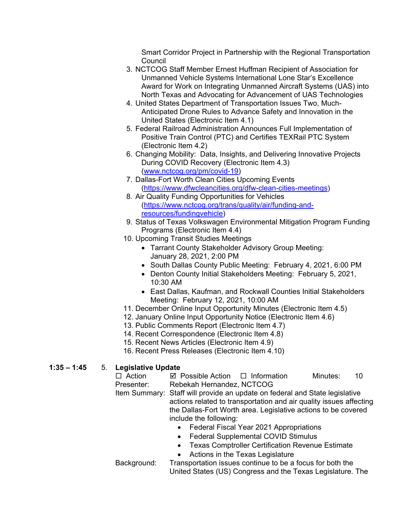Smart Corridor Project in Partnership with the Regional Transportation **Council** 

- 3. NCTCOG Staff Member Ernest Huffman Recipient of Association for Unmanned Vehicle Systems International Lone Star's Excellence Award for Work on Integrating Unmanned Aircraft Systems (UAS) into North Texas and Advocating for Advancement of UAS Technologies
- 4. United States Department of Transportation Issues Two, Much-Anticipated Drone Rules to Advance Safety and Innovation in the United States (Electronic Item 4.1)
- 5. Federal Railroad Administration Announces Full Implementation of Positive Train Control (PTC) and Certifies TEXRail PTC System (Electronic Item 4.2)
- 6. Changing Mobility: Data, Insights, and Delivering Innovative Projects During COVID Recovery (Electronic Item 4.3) [\(www.nctcog.org/pm/covid-19\)](http://www.nctcog.org/pm/covid-19)
- 7. Dallas-Fort Worth Clean Cities Upcoming Events [\(https://www.dfwcleancities.org/dfw-clean-cities-meetings\)](https://www.dfwcleancities.org/dfw-clean-cities-meetings)
- 8. Air Quality Funding Opportunities for Vehicles [\(https://www.nctcog.org/trans/quality/air/funding-and](https://www.nctcog.org/trans/quality/air/funding-and-resources/fundingvehicle)[resources/fundingvehicle\)](https://www.nctcog.org/trans/quality/air/funding-and-resources/fundingvehicle)
- 9. Status of Texas Volkswagen Environmental Mitigation Program Funding Programs (Electronic Item 4.4)
- 10. Upcoming Transit Studies Meetings
	- Tarrant County Stakeholder Advisory Group Meeting: January 28, 2021, 2:00 PM
	- South Dallas County Public Meeting: February 4, 2021, 6:00 PM
	- Denton County Initial Stakeholders Meeting: February 5, 2021, 10:30 AM
	- East Dallas, Kaufman, and Rockwall Counties Initial Stakeholders Meeting: February 12, 2021, 10:00 AM
- 11. December Online Input Opportunity Minutes (Electronic Item 4.5)
- 12. January Online Input Opportunity Notice (Electronic Item 4.6)
- 13. Public Comments Report (Electronic Item 4.7)
- 14. Recent Correspondence (Electronic Item 4.8)
- 15. Recent News Articles (Electronic Item 4.9)
- 16. Recent Press Releases (Electronic Item 4.10)

# **1:35 – 1:45** 5. **Legislative Update**

- $\Box$  Action  $\Box$  Possible Action  $\Box$  Information Minutes: 10<br>Presenter: Rebekah Hernandez NCTCOG Rebekah Hernandez, NCTCOG Item Summary: Staff will provide an update on federal and State legislative actions related to transportation and air quality issues affecting
	- the Dallas-Fort Worth area. Legislative actions to be covered include the following:
		- Federal Fiscal Year 2021 Appropriations
		- Federal Supplemental COVID Stimulus
		- Texas Comptroller Certification Revenue Estimate
		- Actions in the Texas Legislature
- Background: Transportation issues continue to be a focus for both the United States (US) Congress and the Texas Legislature. The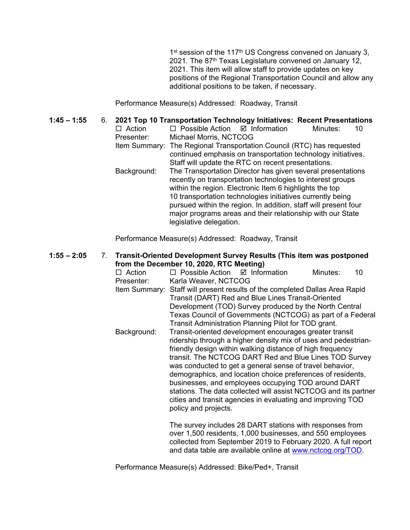1<sup>st</sup> session of the 117<sup>th</sup> US Congress convened on January 3. 2021. The 87<sup>th</sup> Texas Legislature convened on January 12, 2021. This item will allow staff to provide updates on key positions of the Regional Transportation Council and allow any additional positions to be taken, if necessary.

Performance Measure(s) Addressed: Roadway, Transit

**1:45 – 1:55** 6. **2021 Top 10 Transportation Technology Initiatives: Recent Presentations**  $\square$  Action  $\square$  Possible Action  $\square$  Information Minutes: 10<br>Presenter: Michael Morris. NCTCOG Michael Morris, NCTCOG Item Summary: The Regional Transportation Council (RTC) has requested continued emphasis on transportation technology initiatives. Staff will update the RTC on recent presentations. Background: The Transportation Director has given several presentations recently on transportation technologies to interest groups within the region. Electronic Item 6 highlights the top 10 transportation technologies initiatives currently being pursued within the region. In addition, staff will present four major programs areas and their relationship with our State legislative delegation.

Performance Measure(s) Addressed: Roadway, Transit

**1:55 – 2:05** 7. **Transit-Oriented Development Survey Results (This item was postponed from the December 10, 2020, RTC Meeting)**

|                                                        | $\Box$ Action                                            | $\Box$ Possible Action $\Box$ Information                                                                                      |                                                            | Minutes: | 10 |  |  |
|--------------------------------------------------------|----------------------------------------------------------|--------------------------------------------------------------------------------------------------------------------------------|------------------------------------------------------------|----------|----|--|--|
|                                                        | Presenter:                                               | Karla Weaver, NCTCOG                                                                                                           |                                                            |          |    |  |  |
|                                                        |                                                          | Item Summary: Staff will present results of the completed Dallas Area Rapid                                                    |                                                            |          |    |  |  |
|                                                        |                                                          | Transit (DART) Red and Blue Lines Transit-Oriented                                                                             |                                                            |          |    |  |  |
| Development (TOD) Survey produced by the North Central |                                                          |                                                                                                                                |                                                            |          |    |  |  |
|                                                        |                                                          |                                                                                                                                | Texas Council of Governments (NCTCOG) as part of a Federal |          |    |  |  |
|                                                        |                                                          | Transit Administration Planning Pilot for TOD grant.                                                                           |                                                            |          |    |  |  |
|                                                        | Background:                                              |                                                                                                                                | Transit-oriented development encourages greater transit    |          |    |  |  |
|                                                        |                                                          | ridership through a higher density mix of uses and pedestrian-                                                                 |                                                            |          |    |  |  |
|                                                        |                                                          | friendly design within walking distance of high frequency                                                                      |                                                            |          |    |  |  |
|                                                        |                                                          | transit. The NCTCOG DART Red and Blue Lines TOD Survey                                                                         |                                                            |          |    |  |  |
|                                                        | was conducted to get a general sense of travel behavior, |                                                                                                                                |                                                            |          |    |  |  |
|                                                        |                                                          | demographics, and location choice preferences of residents,                                                                    |                                                            |          |    |  |  |
|                                                        |                                                          |                                                                                                                                | businesses, and employees occupying TOD around DART        |          |    |  |  |
|                                                        |                                                          |                                                                                                                                |                                                            |          |    |  |  |
|                                                        |                                                          | stations. The data collected will assist NCTCOG and its partner<br>cities and transit agencies in evaluating and improving TOD |                                                            |          |    |  |  |
|                                                        |                                                          |                                                                                                                                |                                                            |          |    |  |  |
|                                                        |                                                          | policy and projects.                                                                                                           |                                                            |          |    |  |  |
|                                                        |                                                          |                                                                                                                                |                                                            |          |    |  |  |
|                                                        | The survey includes 28 DART stations with responses from |                                                                                                                                |                                                            |          |    |  |  |

over 1,500 residents, 1,000 businesses, and 550 employees collected from September 2019 to February 2020. A full report and data table are available online at [www.nctcog.org/TOD.](http://www.nctcog.org/TOD)

Performance Measure(s) Addressed: Bike/Ped+, Transit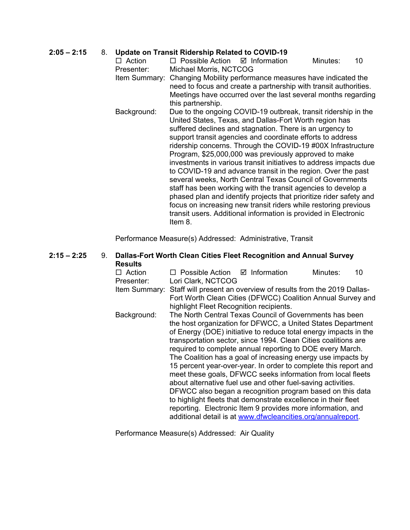# **2:05 – 2:15** 8. **Update on Transit Ridership Related to COVID-19**

- $\Box$  Action  $\Box$  Possible Action  $\Box$  Information Minutes: 10 Presenter: Michael Morris, NCTCOG
- Item Summary: Changing Mobility performance measures have indicated the need to focus and create a partnership with transit authorities. Meetings have occurred over the last several months regarding this partnership.
- Background: Due to the ongoing COVID-19 outbreak, transit ridership in the United States, Texas, and Dallas-Fort Worth region has suffered declines and stagnation. There is an urgency to support transit agencies and coordinate efforts to address ridership concerns. Through the COVID-19 #00X Infrastructure Program, \$25,000,000 was previously approved to make investments in various transit initiatives to address impacts due to COVID-19 and advance transit in the region. Over the past several weeks, North Central Texas Council of Governments staff has been working with the transit agencies to develop a phased plan and identify projects that prioritize rider safety and focus on increasing new transit riders while restoring previous transit users. Additional information is provided in Electronic Item 8.

Performance Measure(s) Addressed: Administrative, Transit

### **2:15 – 2:25** 9. **Dallas-Fort Worth Clean Cities Fleet Recognition and Annual Survey Results**

| $\Box$ Action                                                | $\Box$ Possible Action $\Box$ Information                                                                                   |                                         |  | Minutes: | 10 |
|--------------------------------------------------------------|-----------------------------------------------------------------------------------------------------------------------------|-----------------------------------------|--|----------|----|
| Presenter:                                                   | Lori Clark, NCTCOG                                                                                                          |                                         |  |          |    |
| Item Summary:                                                | Staff will present an overview of results from the 2019 Dallas-                                                             |                                         |  |          |    |
|                                                              | Fort Worth Clean Cities (DFWCC) Coalition Annual Survey and                                                                 |                                         |  |          |    |
|                                                              |                                                                                                                             | highlight Fleet Recognition recipients. |  |          |    |
| Background:                                                  | The North Central Texas Council of Governments has been                                                                     |                                         |  |          |    |
| the host organization for DFWCC, a United States Department  |                                                                                                                             |                                         |  |          |    |
|                                                              | of Energy (DOE) initiative to reduce total energy impacts in the                                                            |                                         |  |          |    |
|                                                              | transportation sector, since 1994. Clean Cities coalitions are<br>required to complete annual reporting to DOE every March. |                                         |  |          |    |
|                                                              |                                                                                                                             |                                         |  |          |    |
| The Coalition has a goal of increasing energy use impacts by |                                                                                                                             |                                         |  |          |    |
|                                                              | 15 percent year-over-year. In order to complete this report and                                                             |                                         |  |          |    |
|                                                              | meet these goals, DFWCC seeks information from local fleets                                                                 |                                         |  |          |    |
|                                                              | about alternative fuel use and other fuel-saving activities.                                                                |                                         |  |          |    |
|                                                              | DFWCC also began a recognition program based on this data                                                                   |                                         |  |          |    |
|                                                              | to highlight fleets that demonstrate excellence in their fleet                                                              |                                         |  |          |    |
|                                                              | reporting. Electronic Item 9 provides more information, and                                                                 |                                         |  |          |    |
|                                                              | additional detail is at www.dfwcleancities.org/annualreport.                                                                |                                         |  |          |    |

Performance Measure(s) Addressed: Air Quality